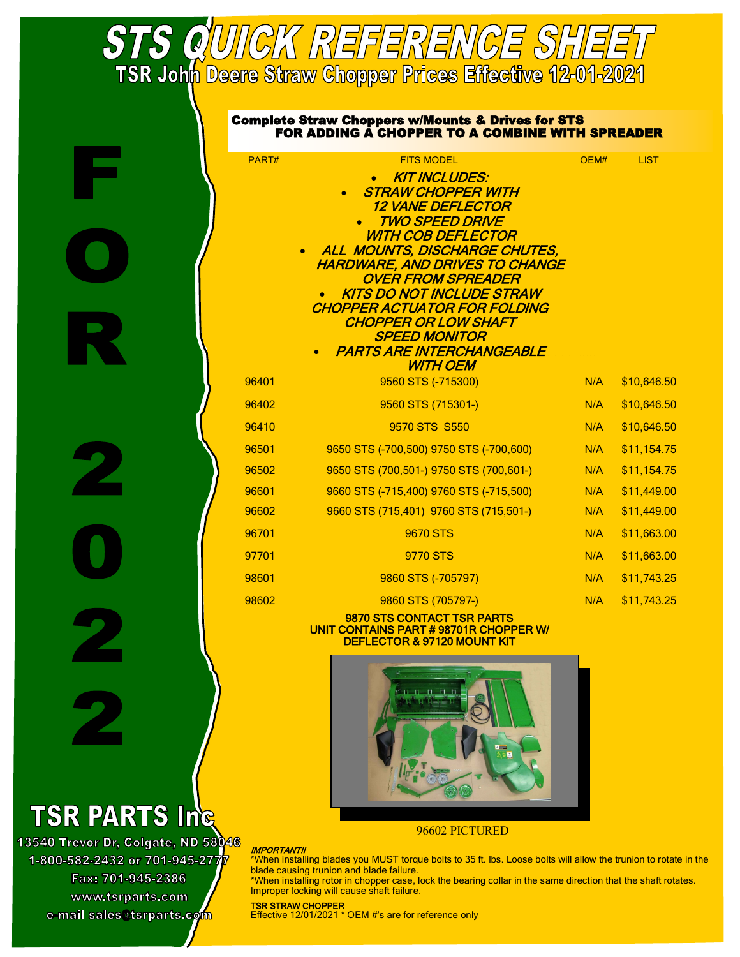# **STS QUIICK REFERENCE SHEET**<br>TSR Joh<mark>n Deere Straw Chopper Prices Effective 12-01-2021</mark>

|       | <b>Complete Straw Choppers w/Mounts &amp; Drives for STS</b><br><b>FOR ADDING A CHOPPER TO A COMBINE WITH SPREADER</b> |      |             |
|-------|------------------------------------------------------------------------------------------------------------------------|------|-------------|
| PART# | <b>FITS MODEL</b>                                                                                                      | OEM# | <b>LIST</b> |
|       | <b>KIT INCLUDES:</b>                                                                                                   |      |             |
|       | <b>STRAW CHOPPER WITH</b><br><i><b>12 VANE DEFLECTOR</b></i>                                                           |      |             |
|       | <b>TWO SPEED DRIVE</b>                                                                                                 |      |             |
|       | <b>WITH COB DEFLECTOR</b>                                                                                              |      |             |
|       | ALL MOUNTS, DISCHARGE CHUTES,<br>HARDWARE, AND DRIVES TO CHANGE                                                        |      |             |
|       | <i><b>OVER FROM SPREADER</b></i>                                                                                       |      |             |
|       | <b>KITS DO NOT INCLUDE STRAW</b><br><b>CHOPPER ACTUATOR FOR FOLDING</b>                                                |      |             |
|       | <b>CHOPPER OR LOW SHAFT</b>                                                                                            |      |             |
|       | <b>SPEED MONITOR</b>                                                                                                   |      |             |
|       | <b>PARTS ARE INTERCHANGEABLE</b><br><b>WITH OEM</b>                                                                    |      |             |
| 96401 | 9560 STS (-715300)                                                                                                     | N/A  | \$10,646.50 |
| 96402 | 9560 STS (715301-)                                                                                                     | N/A  | \$10,646.50 |
| 96410 | 9570 STS S550                                                                                                          | N/A  | \$10,646.50 |
| 96501 | 9650 STS (-700,500) 9750 STS (-700,600)                                                                                | N/A  | \$11,154.75 |
| 96502 | 9650 STS (700,501-) 9750 STS (700,601-)                                                                                | N/A  | \$11,154.75 |
| 96601 | 9660 STS (-715,400) 9760 STS (-715,500)                                                                                | N/A  | \$11,449.00 |
| 96602 | 9660 STS (715,401) 9760 STS (715,501-)                                                                                 | N/A  | \$11,449.00 |
| 96701 | 9670 STS                                                                                                               | N/A  | \$11,663.00 |
| 97701 | 9770 STS                                                                                                               | N/A  | \$11,663.00 |
| 98601 | 9860 STS (-705797)                                                                                                     | N/A  | \$11,743.25 |
| 98602 | 9860 STS (705797-)                                                                                                     | N/A  | \$11,743.25 |

#### 9870 STS CONTACT TSR PARTS UNIT CONTAINS PART # 98701R CHOPPER W/ DEFLECTOR & 97120 MOUNT KIT



96602 PICTURED

#### **IMPORTANT!!**

\*When installing blades you MUST torque bolts to 35 ft. lbs. Loose bolts will allow the trunion to rotate in the blade causing trunion and blade failure.

\*When installing rotor in chopper case, lock the bearing collar in the same direction that the shaft rotates. Improper locking will cause shaft failure.

## **TSR PARTS Inc**

13540 Trevor Dr, Colgate, ND 58046 1-800-582-2432 or 701-945-277<mark>7</mark> Fax: 701-945-2386 www.tsrparts.com e-mail sales@tsrparts.com

TSR STRAW CHOPPER

Effective 12/01/2021 \* OEM #'s are for reference only